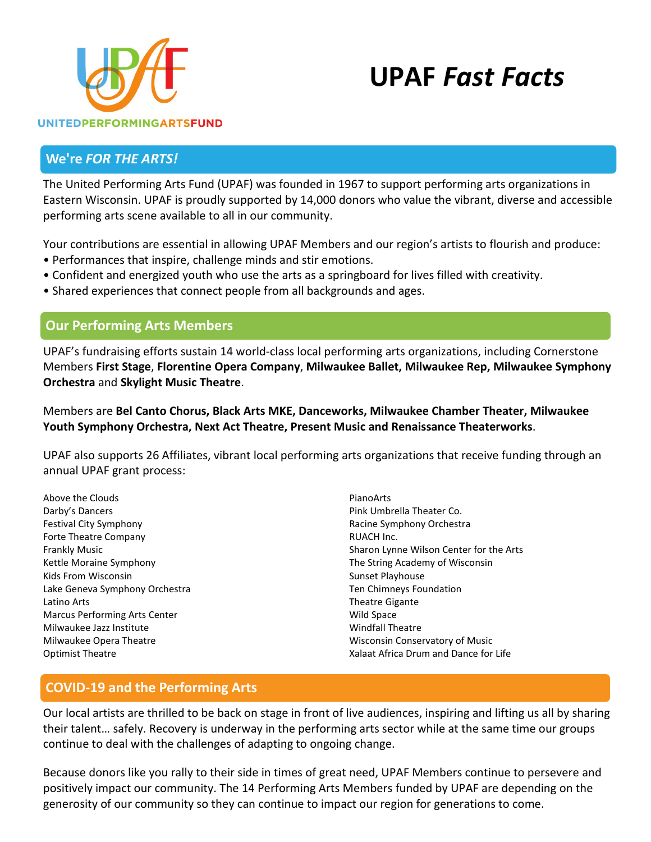



### **We're** *FOR THE ARTS!*

The United Performing Arts Fund (UPAF) was founded in 1967 to support performing arts organizations in Eastern Wisconsin. UPAF is proudly supported by 14,000 donors who value the vibrant, diverse and accessible performing arts scene available to all in our community.

Your contributions are essential in allowing UPAF Members and our region's artists to flourish and produce:

- Performances that inspire, challenge minds and stir emotions.
- Confident and energized youth who use the arts as a springboard for lives filled with creativity.
- Shared experiences that connect people from all backgrounds and ages.

### **Our Performing Arts Members**

UPAF's fundraising efforts sustain 14 world-class local performing arts organizations, including Cornerstone Members **First Stage**, **Florentine Opera Company**, **Milwaukee Ballet, Milwaukee Rep, Milwaukee Symphony Orchestra** and **Skylight Music Theatre**.

Members are **Bel Canto Chorus, Black Arts MKE, Danceworks, Milwaukee Chamber Theater, Milwaukee Youth Symphony Orchestra, Next Act Theatre, Present Music and Renaissance Theaterworks**.

UPAF also supports 26 Affiliates, vibrant local performing arts organizations that receive funding through an annual UPAF grant process:

Above the Clouds Darby's Dancers Festival City Symphony Forte Theatre Company Frankly Music Kettle Moraine Symphony Kids From Wisconsin Lake Geneva Symphony Orchestra Latino Arts Marcus Performing Arts Center Milwaukee Jazz Institute Milwaukee Opera Theatre Optimist Theatre

PianoArts Pink Umbrella Theater Co. Racine Symphony Orchestra RUACH Inc. Sharon Lynne Wilson Center for the Arts The String Academy of Wisconsin Sunset Playhouse Ten Chimneys Foundation Theatre Gigante Wild Space Windfall Theatre Wisconsin Conservatory of Music Xalaat Africa Drum and Dance for Life

## **COVID-19 and the Performing Arts**

Our local artists are thrilled to be back on stage in front of live audiences, inspiring and lifting us all by sharing their talent… safely. Recovery is underway in the performing arts sector while at the same time our groups continue to deal with the challenges of adapting to ongoing change.

Because donors like you rally to their side in times of great need, UPAF Members continue to persevere and positively impact our community. The 14 Performing Arts Members funded by UPAF are depending on the generosity of our community so they can continue to impact our region for generations to come.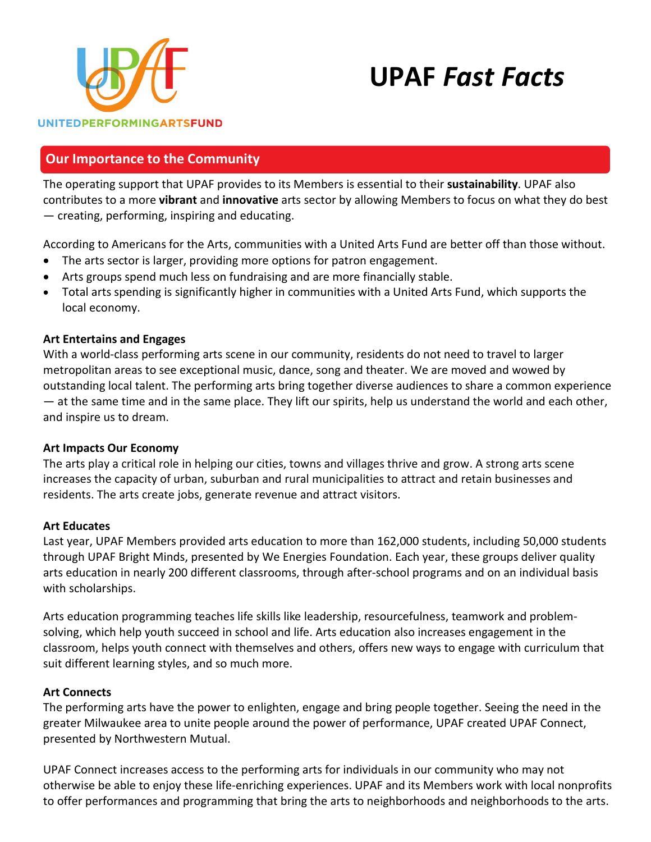

# **UPAF** *Fast Facts*

## **Our Importance to the Community**

The operating support that UPAF provides to its Members is essential to their **sustainability**. UPAF also contributes to a more **vibrant** and **innovative** arts sector by allowing Members to focus on what they do best — creating, performing, inspiring and educating.

According to Americans for the Arts, communities with a United Arts Fund are better off than those without.

- The arts sector is larger, providing more options for patron engagement.
- Arts groups spend much less on fundraising and are more financially stable.
- Total arts spending is significantly higher in communities with a United Arts Fund, which supports the local economy.

#### **Art Entertains and Engages**

With a world-class performing arts scene in our community, residents do not need to travel to larger metropolitan areas to see exceptional music, dance, song and theater. We are moved and wowed by outstanding local talent. The performing arts bring together diverse audiences to share a common experience — at the same time and in the same place. They lift our spirits, help us understand the world and each other, and inspire us to dream.

#### **Art Impacts Our Economy**

The arts play a critical role in helping our cities, towns and villages thrive and grow. A strong arts scene increases the capacity of urban, suburban and rural municipalities to attract and retain businesses and residents. The arts create jobs, generate revenue and attract visitors.

#### **Art Educates**

Last year, UPAF Members provided arts education to more than 162,000 students, including 50,000 students through UPAF Bright Minds, presented by We Energies Foundation. Each year, these groups deliver quality arts education in nearly 200 different classrooms, through after-school programs and on an individual basis with scholarships.

Arts education programming teaches life skills like leadership, resourcefulness, teamwork and problemsolving, which help youth succeed in school and life. Arts education also increases engagement in the classroom, helps youth connect with themselves and others, offers new ways to engage with curriculum that suit different learning styles, and so much more.

#### **Art Connects**

The performing arts have the power to enlighten, engage and bring people together. Seeing the need in the greater Milwaukee area to unite people around the power of performance, UPAF created UPAF Connect, presented by Northwestern Mutual.

UPAF Connect increases access to the performing arts for individuals in our community who may not otherwise be able to enjoy these life-enriching experiences. UPAF and its Members work with local nonprofits to offer performances and programming that bring the arts to neighborhoods and neighborhoods to the arts.